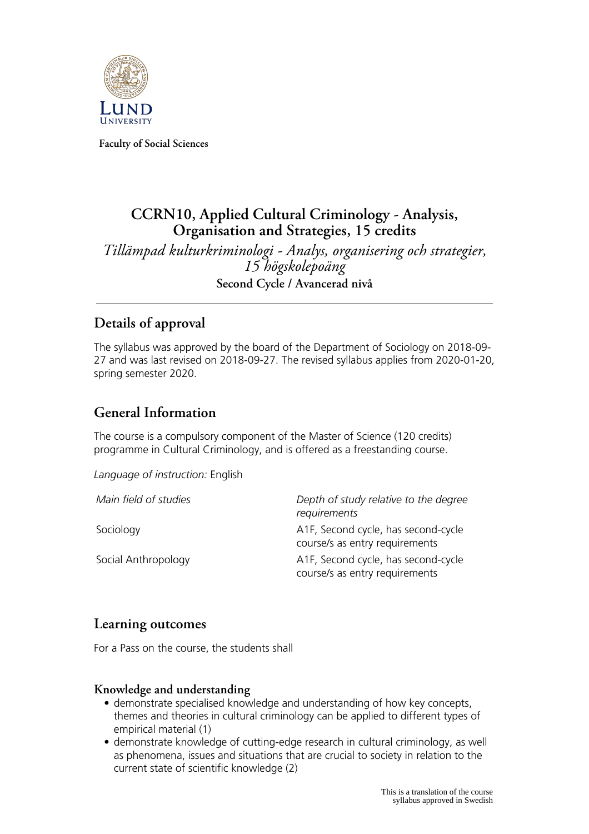

**Faculty of Social Sciences**

# **CCRN10, Applied Cultural Criminology - Analysis, Organisation and Strategies, 15 credits**

*Tillämpad kulturkriminologi - Analys, organisering och strategier, 15 högskolepoäng* **Second Cycle / Avancerad nivå**

# **Details of approval**

The syllabus was approved by the board of the Department of Sociology on 2018-09- 27 and was last revised on 2018-09-27. The revised syllabus applies from 2020-01-20, spring semester 2020.

# **General Information**

The course is a compulsory component of the Master of Science (120 credits) programme in Cultural Criminology, and is offered as a freestanding course.

*Language of instruction:* English

| Main field of studies | Depth of study relative to the degree<br>requirements                 |
|-----------------------|-----------------------------------------------------------------------|
| Sociology             | A1F, Second cycle, has second-cycle<br>course/s as entry requirements |
| Social Anthropology   | A1F, Second cycle, has second-cycle<br>course/s as entry requirements |

### **Learning outcomes**

For a Pass on the course, the students shall

### **Knowledge and understanding**

- demonstrate specialised knowledge and understanding of how key concepts, themes and theories in cultural criminology can be applied to different types of empirical material (1)
- demonstrate knowledge of cutting-edge research in cultural criminology, as well as phenomena, issues and situations that are crucial to society in relation to the current state of scientific knowledge (2)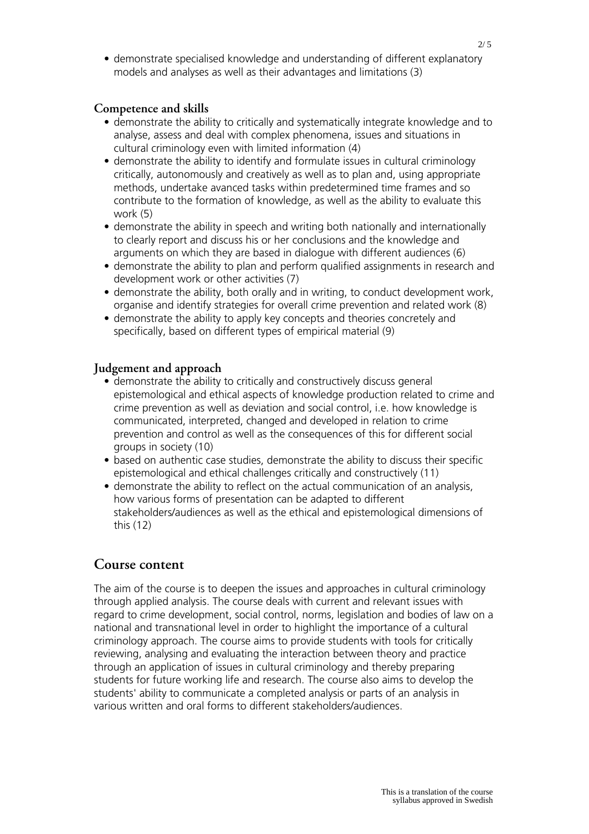• demonstrate specialised knowledge and understanding of different explanatory models and analyses as well as their advantages and limitations (3)

#### **Competence and skills**

- demonstrate the ability to critically and systematically integrate knowledge and to analyse, assess and deal with complex phenomena, issues and situations in cultural criminology even with limited information (4)
- demonstrate the ability to identify and formulate issues in cultural criminology critically, autonomously and creatively as well as to plan and, using appropriate methods, undertake avanced tasks within predetermined time frames and so contribute to the formation of knowledge, as well as the ability to evaluate this work (5)
- demonstrate the ability in speech and writing both nationally and internationally to clearly report and discuss his or her conclusions and the knowledge and arguments on which they are based in dialogue with different audiences (6)
- demonstrate the ability to plan and perform qualified assignments in research and development work or other activities (7)
- demonstrate the ability, both orally and in writing, to conduct development work, organise and identify strategies for overall crime prevention and related work (8)
- demonstrate the ability to apply key concepts and theories concretely and specifically, based on different types of empirical material (9)

#### **Judgement and approach**

- demonstrate the ability to critically and constructively discuss general epistemological and ethical aspects of knowledge production related to crime and crime prevention as well as deviation and social control, i.e. how knowledge is communicated, interpreted, changed and developed in relation to crime prevention and control as well as the consequences of this for different social groups in society (10)
- based on authentic case studies, demonstrate the ability to discuss their specific epistemological and ethical challenges critically and constructively (11)
- demonstrate the ability to reflect on the actual communication of an analysis, how various forms of presentation can be adapted to different stakeholders/audiences as well as the ethical and epistemological dimensions of this (12)

#### **Course content**

The aim of the course is to deepen the issues and approaches in cultural criminology through applied analysis. The course deals with current and relevant issues with regard to crime development, social control, norms, legislation and bodies of law on a national and transnational level in order to highlight the importance of a cultural criminology approach. The course aims to provide students with tools for critically reviewing, analysing and evaluating the interaction between theory and practice through an application of issues in cultural criminology and thereby preparing students for future working life and research. The course also aims to develop the students' ability to communicate a completed analysis or parts of an analysis in various written and oral forms to different stakeholders/audiences.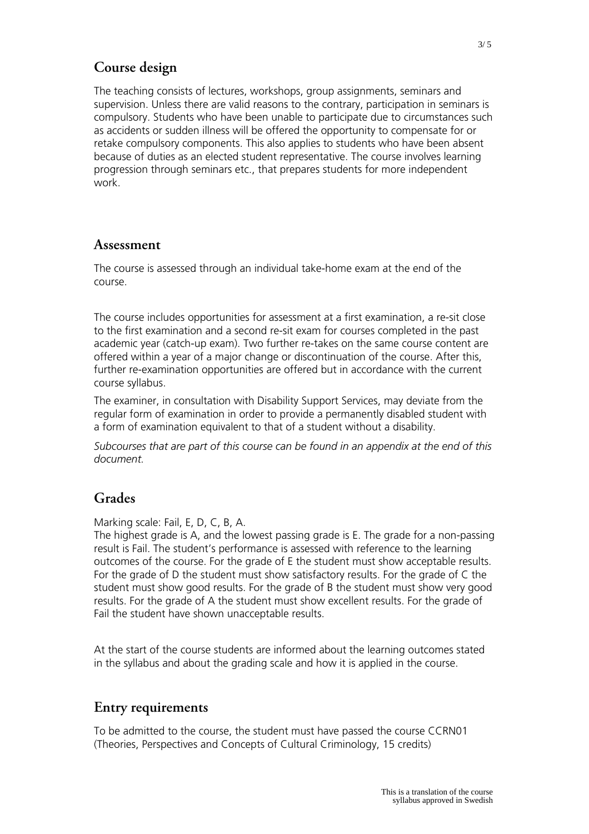## **Course design**

The teaching consists of lectures, workshops, group assignments, seminars and supervision. Unless there are valid reasons to the contrary, participation in seminars is compulsory. Students who have been unable to participate due to circumstances such as accidents or sudden illness will be offered the opportunity to compensate for or retake compulsory components. This also applies to students who have been absent because of duties as an elected student representative. The course involves learning progression through seminars etc., that prepares students for more independent work.

### **Assessment**

The course is assessed through an individual take-home exam at the end of the course.

The course includes opportunities for assessment at a first examination, a re-sit close to the first examination and a second re-sit exam for courses completed in the past academic year (catch-up exam). Two further re-takes on the same course content are offered within a year of a major change or discontinuation of the course. After this, further re-examination opportunities are offered but in accordance with the current course syllabus.

The examiner, in consultation with Disability Support Services, may deviate from the regular form of examination in order to provide a permanently disabled student with a form of examination equivalent to that of a student without a disability.

*Subcourses that are part of this course can be found in an appendix at the end of this document.*

### **Grades**

Marking scale: Fail, E, D, C, B, A.

The highest grade is A, and the lowest passing grade is E. The grade for a non-passing result is Fail. The student's performance is assessed with reference to the learning outcomes of the course. For the grade of E the student must show acceptable results. For the grade of D the student must show satisfactory results. For the grade of C the student must show good results. For the grade of B the student must show very good results. For the grade of A the student must show excellent results. For the grade of Fail the student have shown unacceptable results.

At the start of the course students are informed about the learning outcomes stated in the syllabus and about the grading scale and how it is applied in the course.

### **Entry requirements**

To be admitted to the course, the student must have passed the course CCRN01 (Theories, Perspectives and Concepts of Cultural Criminology, 15 credits)